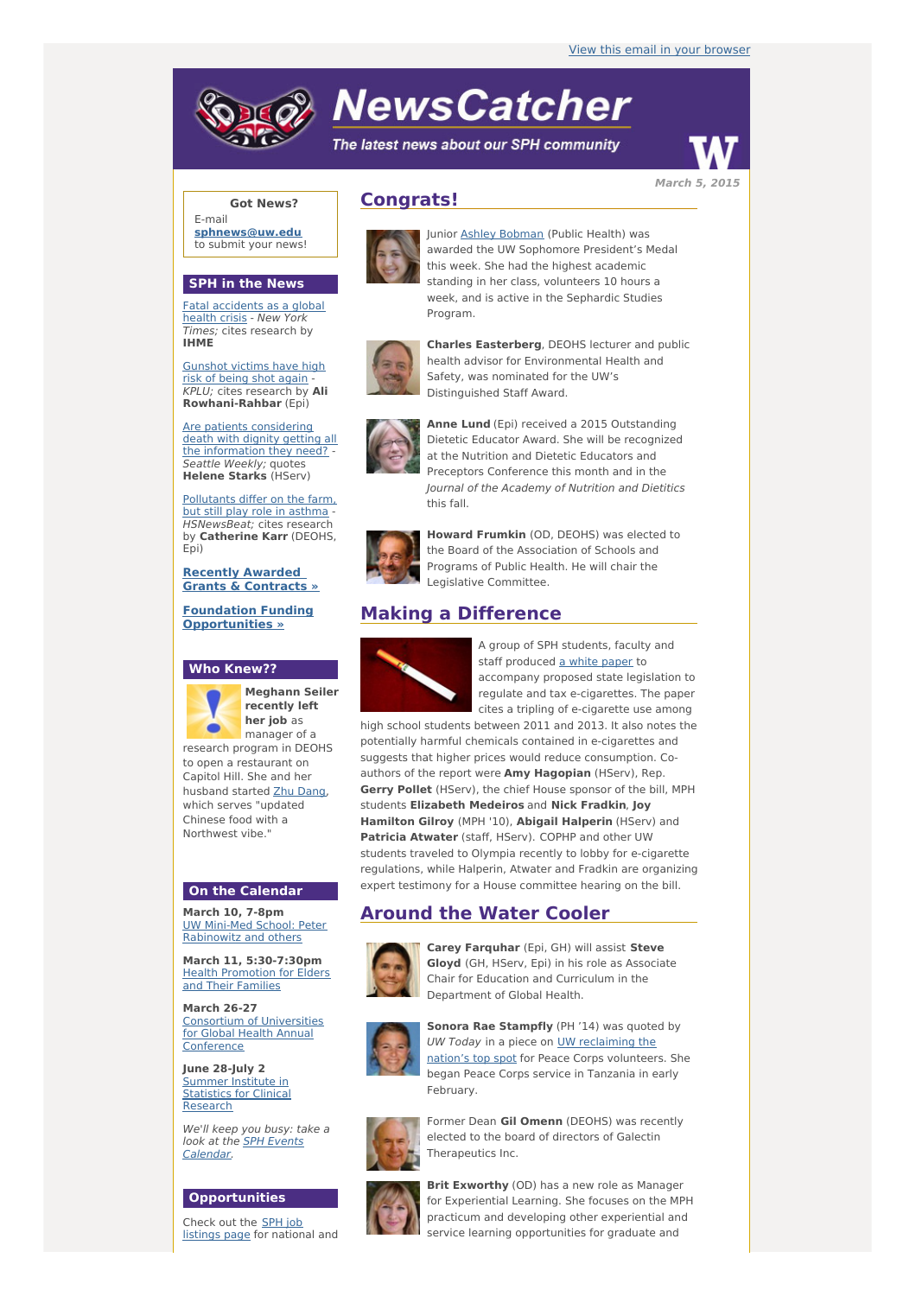# **NewsCatcher**

The latest news about our SPH community



**Got News?**

E-mail **[sphnews@uw.edu](mailto:sphnews@uw.edu)** to submit your news!

#### **SPH in the News**

Fatal [accidents](http://engage.washington.edu/site/R?i=FK4wnorVfi8FZuoq6hmjBA) as a global health crisis - New York Times; cites research by **IHME**

[Gunshot](http://engage.washington.edu/site/R?i=QJJ_HiSvfVoHg74vFXVboA) victims have high risk of being shot again KPLU; cites research by **Ali Rowhani-Rahbar** (Epi)

Are patients [considering](http://engage.washington.edu/site/R?i=C99rLxmW5CQeBaJwHoh4Bw) death with dignity getting all the information they need? -Seattle Weekly; quotes **Helene Starks** (HServ)

[Pollutants](http://engage.washington.edu/site/R?i=uoyDC8hdIr3wzNq361Nq_g) differ on the farm, but still play role in asthma - HSNewsBeat; cites research by **Catherine Karr** (DEOHS, Epi)

**Recently Awarded Grants & [Contracts](http://engage.washington.edu/site/R?i=douN8Zgs71vtWhb8Vr9HiQ) »**

**Foundation Funding [Opportunities](http://engage.washington.edu/site/R?i=bbmMcaTejGzbpqu3MxPY3w) »**

#### **Who Knew??**



**Meghann Seiler recently left her job** as manager of a

research program in DEOHS to open a restaurant on Capitol Hill. She and her husband started Zhu [Dang](http://engage.washington.edu/site/R?i=zM7_1OVNpFU2IsVNc8I32g), which serves "updated Chinese food with a Northwest vibe."

### **On the Calendar**

**March 10, 7-8pm** UW Mini-Med School: Peter [Rabinowitz](http://engage.washington.edu/site/R?i=E1jKcGauIqNmbBAP5UBYew) and others

**March 11, 5:30-7:30pm** Health [Promotion](http://engage.washington.edu/site/R?i=pKBPLyOskPbWNTaS8IPDFg) for Elders and Their Families

**March 26-27** Consortium of [Universities](http://engage.washington.edu/site/R?i=np4ABt6dRKuFZh_B2vt0FQ) for Global Health Annual Conference

**June 28-July 2** Summer Institute in **[Statistics](http://engage.washington.edu/site/R?i=3bPlIaiZNW0WgTSp_v_nIg) for Clinical** Research

We'll keep you busy: take a look at the **SPH Events** [Calendar.](http://engage.washington.edu/site/R?i=Yf-QuKqgqLaYdXZ6A7mzMw)

#### **Opportunities**

Check out the SPH job [listings](http://engage.washington.edu/site/R?i=yJRKClG3ZE6fIZk_VFYdaQ) page for national and

## **Congrats!**



Junior Ashley [Bobman](http://engage.washington.edu/site/R?i=KsgUSUw57Imh7lxDE6MTgg) (Public Health) was awarded the UW Sophomore President's Medal this week. She had the highest academic standing in her class, volunteers 10 hours a week, and is active in the Sephardic Studies Program.



**Charles Easterberg**, DEOHS lecturer and public health advisor for Environmental Health and Safety, was nominated for the UW's Distinguished Staff Award.



**Anne Lund** (Epi) received a 2015 Outstanding Dietetic Educator Award. She will be recognized at the Nutrition and Dietetic Educators and Preceptors Conference this month and in the Journal of the Academy of Nutrition and Dietitics this fall.



**Howard Frumkin** (OD, DEOHS) was elected to the Board of the Association of Schools and Programs of Public Health. He will chair the Legislative Committee.

## **Making a Difference**



A group of SPH students, faculty and staff produced a white [paper](http://engage.washington.edu/site/R?i=Gup2B2ljErzGKE7iUUdvuQ) to accompany proposed state legislation to regulate and tax e-cigarettes. The paper cites a tripling of e-cigarette use among

high school students between 2011 and 2013. It also notes the potentially harmful chemicals contained in e-cigarettes and suggests that higher prices would reduce consumption. Coauthors of the report were **Amy Hagopian** (HServ), Rep. **Gerry Pollet** (HServ), the chief House sponsor of the bill, MPH students **Elizabeth Medeiros** and **Nick Fradkin**, **Joy Hamilton Gilroy** (MPH '10), **Abigail Halperin** (HServ) and **Patricia Atwater** (staff, HServ). COPHP and other UW students traveled to Olympia recently to lobby for e-cigarette regulations, while Halperin, Atwater and Fradkin are organizing expert testimony for a House committee hearing on the bill.

## **Around the Water Cooler**



**Carey Farquhar** (Epi, GH) will assist **Steve Gloyd** (GH, HServ, Epi) in his role as Associate Chair for Education and Curriculum in the Department of Global Health.



**Sonora Rae Stampfly** (PH '14) was quoted by UW Today in a piece on UW [reclaiming](http://engage.washington.edu/site/R?i=-MxgAdm19_7fC0KVmSDcwA) the nation's top spot for Peace Corps volunteers. She began Peace Corps service in Tanzania in early February.



Former Dean **Gil Omenn** (DEOHS) was recently elected to the board of directors of Galectin Therapeutics Inc.



**Brit Exworthy** (OD) has a new role as Manager for Experiential Learning. She focuses on the MPH practicum and developing other experiential and service learning opportunities for graduate and